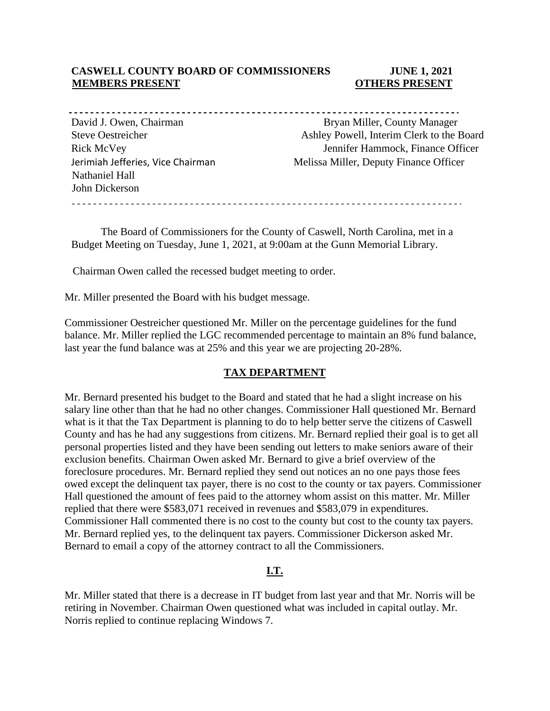## **CASWELL COUNTY BOARD OF COMMISSIONERS JUNE 1, 2021 MEMBERS PRESENT COTHERS PRESENT**

Nathaniel Hall John Dickerson

-----------------David J. Owen, Chairman Bryan Miller, County Manager Steve Oestreicher Ashley Powell, Interim Clerk to the Board Rick McVey Jennifer Hammock, Finance Officer Jerimiah Jefferies, Vice Chairman Melissa Miller, Deputy Finance Officer

The Board of Commissioners for the County of Caswell, North Carolina, met in a Budget Meeting on Tuesday, June 1, 2021, at 9:00am at the Gunn Memorial Library.

Chairman Owen called the recessed budget meeting to order.

Mr. Miller presented the Board with his budget message.

Commissioner Oestreicher questioned Mr. Miller on the percentage guidelines for the fund balance. Mr. Miller replied the LGC recommended percentage to maintain an 8% fund balance, last year the fund balance was at 25% and this year we are projecting 20-28%.

### **TAX DEPARTMENT**

Mr. Bernard presented his budget to the Board and stated that he had a slight increase on his salary line other than that he had no other changes. Commissioner Hall questioned Mr. Bernard what is it that the Tax Department is planning to do to help better serve the citizens of Caswell County and has he had any suggestions from citizens. Mr. Bernard replied their goal is to get all personal properties listed and they have been sending out letters to make seniors aware of their exclusion benefits. Chairman Owen asked Mr. Bernard to give a brief overview of the foreclosure procedures. Mr. Bernard replied they send out notices an no one pays those fees owed except the delinquent tax payer, there is no cost to the county or tax payers. Commissioner Hall questioned the amount of fees paid to the attorney whom assist on this matter. Mr. Miller replied that there were \$583,071 received in revenues and \$583,079 in expenditures. Commissioner Hall commented there is no cost to the county but cost to the county tax payers. Mr. Bernard replied yes, to the delinquent tax payers. Commissioner Dickerson asked Mr. Bernard to email a copy of the attorney contract to all the Commissioners.

# **I.T.**

Mr. Miller stated that there is a decrease in IT budget from last year and that Mr. Norris will be retiring in November. Chairman Owen questioned what was included in capital outlay. Mr. Norris replied to continue replacing Windows 7.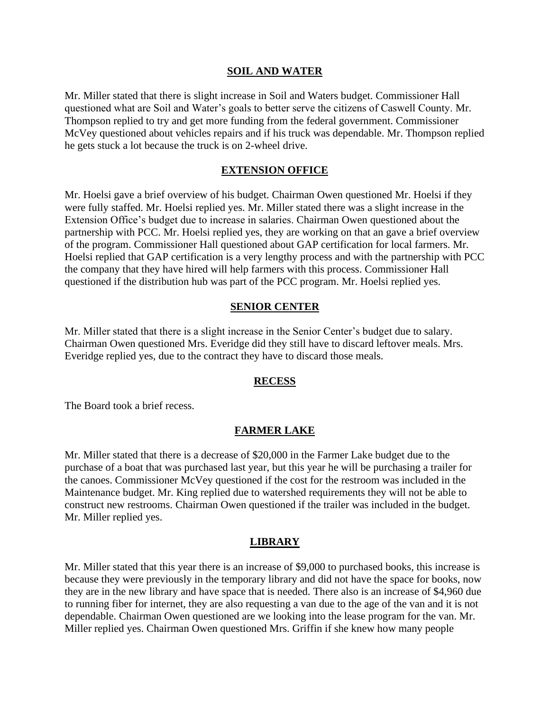#### **SOIL AND WATER**

Mr. Miller stated that there is slight increase in Soil and Waters budget. Commissioner Hall questioned what are Soil and Water's goals to better serve the citizens of Caswell County. Mr. Thompson replied to try and get more funding from the federal government. Commissioner McVey questioned about vehicles repairs and if his truck was dependable. Mr. Thompson replied he gets stuck a lot because the truck is on 2-wheel drive.

## **EXTENSION OFFICE**

Mr. Hoelsi gave a brief overview of his budget. Chairman Owen questioned Mr. Hoelsi if they were fully staffed. Mr. Hoelsi replied yes. Mr. Miller stated there was a slight increase in the Extension Office's budget due to increase in salaries. Chairman Owen questioned about the partnership with PCC. Mr. Hoelsi replied yes, they are working on that an gave a brief overview of the program. Commissioner Hall questioned about GAP certification for local farmers. Mr. Hoelsi replied that GAP certification is a very lengthy process and with the partnership with PCC the company that they have hired will help farmers with this process. Commissioner Hall questioned if the distribution hub was part of the PCC program. Mr. Hoelsi replied yes.

## **SENIOR CENTER**

Mr. Miller stated that there is a slight increase in the Senior Center's budget due to salary. Chairman Owen questioned Mrs. Everidge did they still have to discard leftover meals. Mrs. Everidge replied yes, due to the contract they have to discard those meals.

### **RECESS**

The Board took a brief recess.

### **FARMER LAKE**

Mr. Miller stated that there is a decrease of \$20,000 in the Farmer Lake budget due to the purchase of a boat that was purchased last year, but this year he will be purchasing a trailer for the canoes. Commissioner McVey questioned if the cost for the restroom was included in the Maintenance budget. Mr. King replied due to watershed requirements they will not be able to construct new restrooms. Chairman Owen questioned if the trailer was included in the budget. Mr. Miller replied yes.

### **LIBRARY**

Mr. Miller stated that this year there is an increase of \$9,000 to purchased books, this increase is because they were previously in the temporary library and did not have the space for books, now they are in the new library and have space that is needed. There also is an increase of \$4,960 due to running fiber for internet, they are also requesting a van due to the age of the van and it is not dependable. Chairman Owen questioned are we looking into the lease program for the van. Mr. Miller replied yes. Chairman Owen questioned Mrs. Griffin if she knew how many people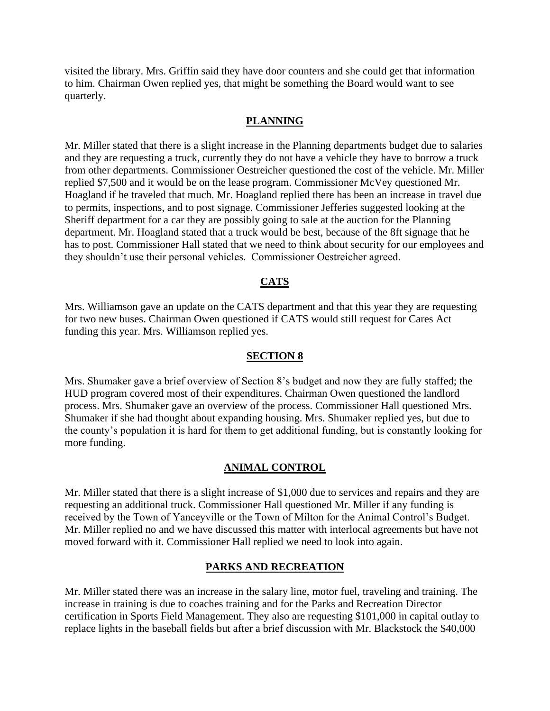visited the library. Mrs. Griffin said they have door counters and she could get that information to him. Chairman Owen replied yes, that might be something the Board would want to see quarterly.

### **PLANNING**

Mr. Miller stated that there is a slight increase in the Planning departments budget due to salaries and they are requesting a truck, currently they do not have a vehicle they have to borrow a truck from other departments. Commissioner Oestreicher questioned the cost of the vehicle. Mr. Miller replied \$7,500 and it would be on the lease program. Commissioner McVey questioned Mr. Hoagland if he traveled that much. Mr. Hoagland replied there has been an increase in travel due to permits, inspections, and to post signage. Commissioner Jefferies suggested looking at the Sheriff department for a car they are possibly going to sale at the auction for the Planning department. Mr. Hoagland stated that a truck would be best, because of the 8ft signage that he has to post. Commissioner Hall stated that we need to think about security for our employees and they shouldn't use their personal vehicles. Commissioner Oestreicher agreed.

### **CATS**

Mrs. Williamson gave an update on the CATS department and that this year they are requesting for two new buses. Chairman Owen questioned if CATS would still request for Cares Act funding this year. Mrs. Williamson replied yes.

#### **SECTION 8**

Mrs. Shumaker gave a brief overview of Section 8's budget and now they are fully staffed; the HUD program covered most of their expenditures. Chairman Owen questioned the landlord process. Mrs. Shumaker gave an overview of the process. Commissioner Hall questioned Mrs. Shumaker if she had thought about expanding housing. Mrs. Shumaker replied yes, but due to the county's population it is hard for them to get additional funding, but is constantly looking for more funding.

#### **ANIMAL CONTROL**

Mr. Miller stated that there is a slight increase of \$1,000 due to services and repairs and they are requesting an additional truck. Commissioner Hall questioned Mr. Miller if any funding is received by the Town of Yanceyville or the Town of Milton for the Animal Control's Budget. Mr. Miller replied no and we have discussed this matter with interlocal agreements but have not moved forward with it. Commissioner Hall replied we need to look into again.

#### **PARKS AND RECREATION**

Mr. Miller stated there was an increase in the salary line, motor fuel, traveling and training. The increase in training is due to coaches training and for the Parks and Recreation Director certification in Sports Field Management. They also are requesting \$101,000 in capital outlay to replace lights in the baseball fields but after a brief discussion with Mr. Blackstock the \$40,000